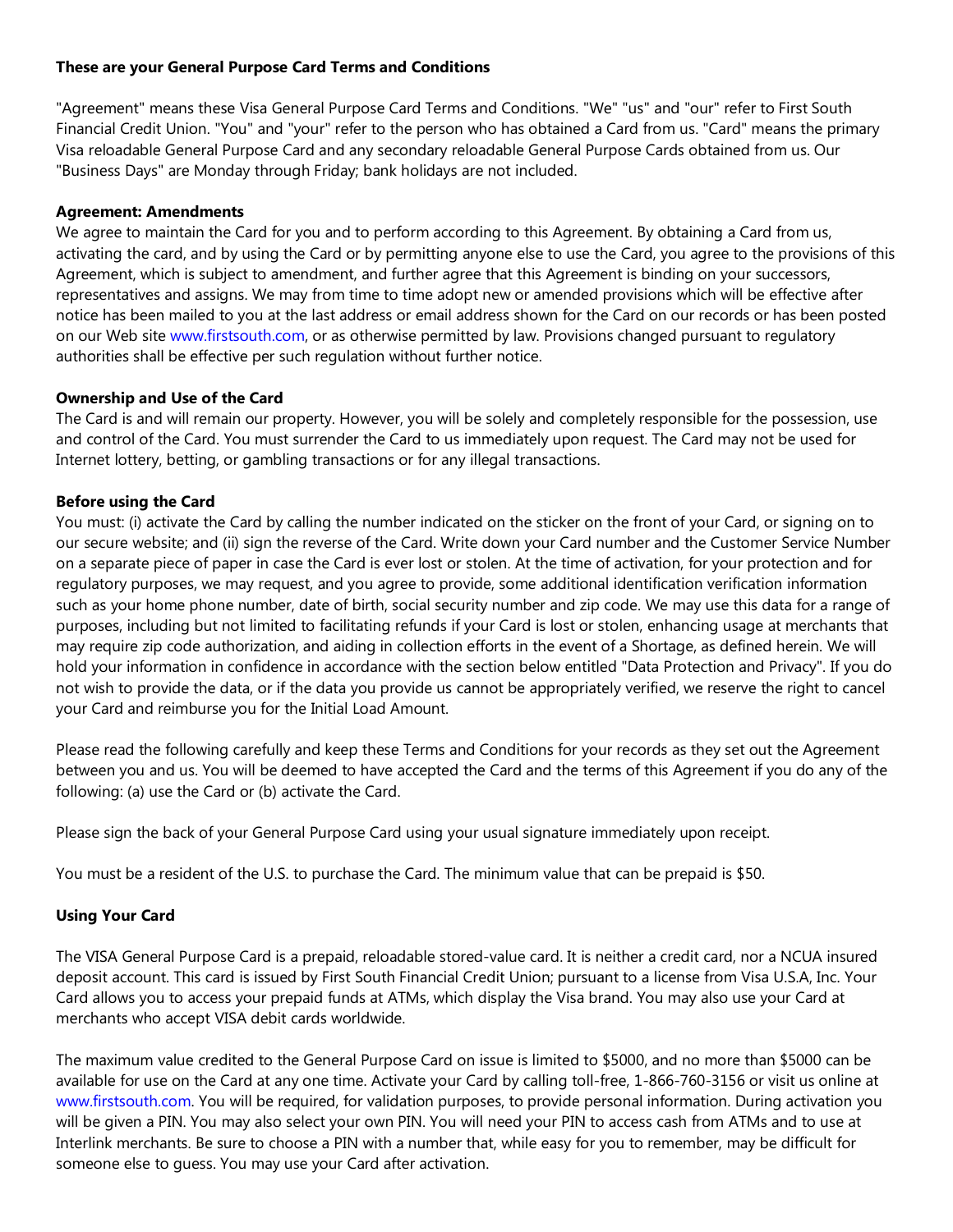### **These are your General Purpose Card Terms and Conditions**

"Agreement" means these Visa General Purpose Card Terms and Conditions. "We" "us" and "our" refer to First South Financial Credit Union. "You" and "your" refer to the person who has obtained a Card from us. "Card" means the primary Visa reloadable General Purpose Card and any secondary reloadable General Purpose Cards obtained from us. Our "Business Days" are Monday through Friday; bank holidays are not included.

### **Agreement: Amendments**

We agree to maintain the Card for you and to perform according to this Agreement. By obtaining a Card from us, activating the card, and by using the Card or by permitting anyone else to use the Card, you agree to the provisions of this Agreement, which is subject to amendment, and further agree that this Agreement is binding on your successors, representatives and assigns. We may from time to time adopt new or amended provisions which will be effective after notice has been mailed to you at the last address or email address shown for the Card on our records or has been posted on our Web site www.firstsouth.com, or as otherwise permitted by law. Provisions changed pursuant to regulatory authorities shall be effective per such regulation without further notice.

#### **Ownership and Use of the Card**

The Card is and will remain our property. However, you will be solely and completely responsible for the possession, use and control of the Card. You must surrender the Card to us immediately upon request. The Card may not be used for Internet lottery, betting, or gambling transactions or for any illegal transactions.

## **Before using the Card**

You must: (i) activate the Card by calling the number indicated on the sticker on the front of your Card, or signing on to our secure website; and (ii) sign the reverse of the Card. Write down your Card number and the Customer Service Number on a separate piece of paper in case the Card is ever lost or stolen. At the time of activation, for your protection and for regulatory purposes, we may request, and you agree to provide, some additional identification verification information such as your home phone number, date of birth, social security number and zip code. We may use this data for a range of purposes, including but not limited to facilitating refunds if your Card is lost or stolen, enhancing usage at merchants that may require zip code authorization, and aiding in collection efforts in the event of a Shortage, as defined herein. We will hold your information in confidence in accordance with the section below entitled "Data Protection and Privacy". If you do not wish to provide the data, or if the data you provide us cannot be appropriately verified, we reserve the right to cancel your Card and reimburse you for the Initial Load Amount.

Please read the following carefully and keep these Terms and Conditions for your records as they set out the Agreement between you and us. You will be deemed to have accepted the Card and the terms of this Agreement if you do any of the following: (a) use the Card or (b) activate the Card.

Please sign the back of your General Purpose Card using your usual signature immediately upon receipt.

You must be a resident of the U.S. to purchase the Card. The minimum value that can be prepaid is \$50.

# **Using Your Card**

The VISA General Purpose Card is a prepaid, reloadable stored-value card. It is neither a credit card, nor a NCUA insured deposit account. This card is issued by First South Financial Credit Union; pursuant to a license from Visa U.S.A, Inc. Your Card allows you to access your prepaid funds at ATMs, which display the Visa brand. You may also use your Card at merchants who accept VISA debit cards worldwide.

The maximum value credited to the General Purpose Card on issue is limited to \$5000, and no more than \$5000 can be available for use on the Card at any one time. Activate your Card by calling toll-free, 1-866-760-3156 or visit us online at www.firstsouth.com. You will be required, for validation purposes, to provide personal information. During activation you will be given a PIN. You may also select your own PIN. You will need your PIN to access cash from ATMs and to use at Interlink merchants. Be sure to choose a PIN with a number that, while easy for you to remember, may be difficult for someone else to guess. You may use your Card after activation.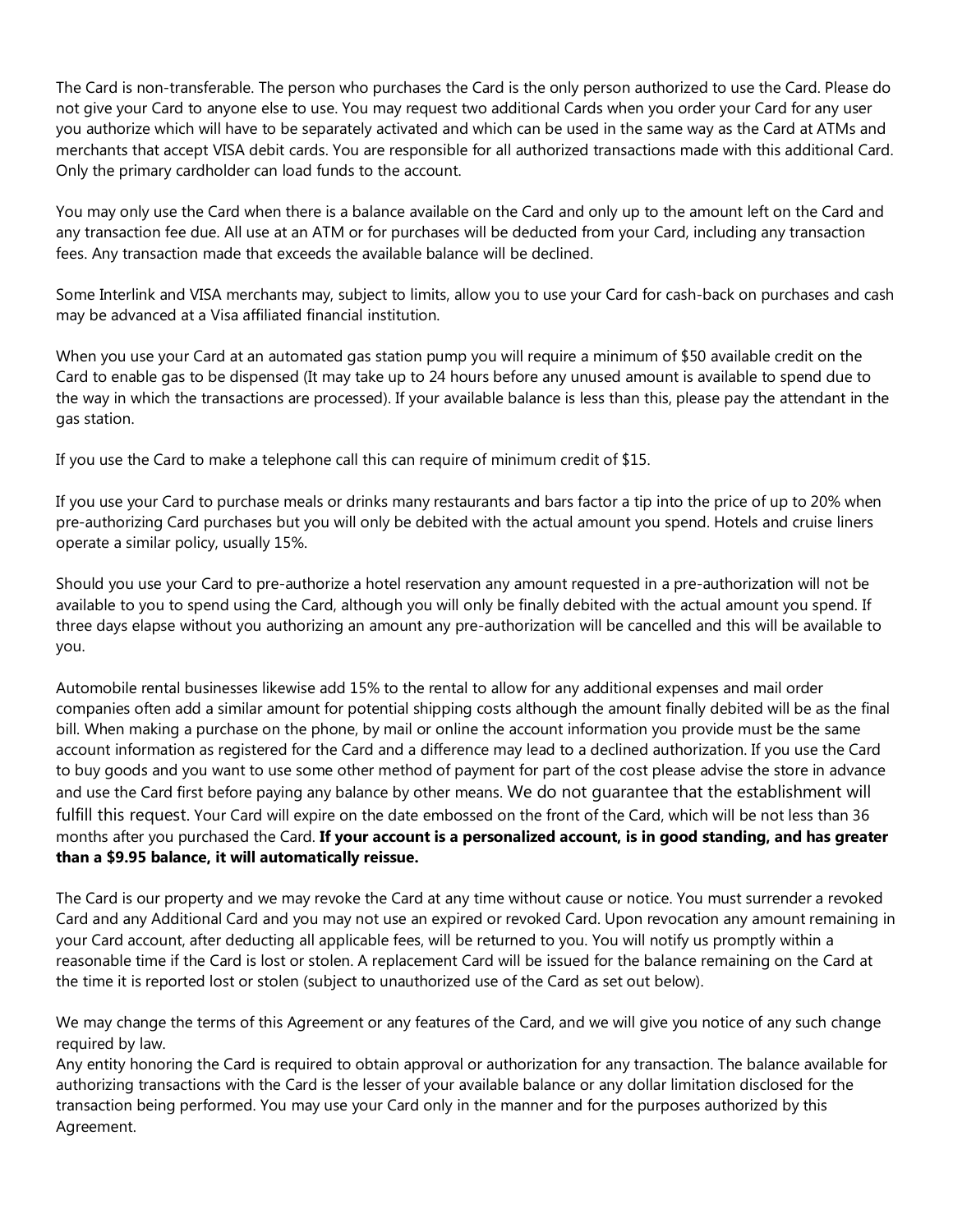The Card is non-transferable. The person who purchases the Card is the only person authorized to use the Card. Please do not give your Card to anyone else to use. You may request two additional Cards when you order your Card for any user you authorize which will have to be separately activated and which can be used in the same way as the Card at ATMs and merchants that accept VISA debit cards. You are responsible for all authorized transactions made with this additional Card. Only the primary cardholder can load funds to the account.

You may only use the Card when there is a balance available on the Card and only up to the amount left on the Card and any transaction fee due. All use at an ATM or for purchases will be deducted from your Card, including any transaction fees. Any transaction made that exceeds the available balance will be declined.

Some Interlink and VISA merchants may, subject to limits, allow you to use your Card for cash-back on purchases and cash may be advanced at a Visa affiliated financial institution.

When you use your Card at an automated gas station pump you will require a minimum of \$50 available credit on the Card to enable gas to be dispensed (It may take up to 24 hours before any unused amount is available to spend due to the way in which the transactions are processed). If your available balance is less than this, please pay the attendant in the gas station.

If you use the Card to make a telephone call this can require of minimum credit of \$15.

If you use your Card to purchase meals or drinks many restaurants and bars factor a tip into the price of up to 20% when pre-authorizing Card purchases but you will only be debited with the actual amount you spend. Hotels and cruise liners operate a similar policy, usually 15%.

Should you use your Card to pre-authorize a hotel reservation any amount requested in a pre-authorization will not be available to you to spend using the Card, although you will only be finally debited with the actual amount you spend. If three days elapse without you authorizing an amount any pre-authorization will be cancelled and this will be available to you.

Automobile rental businesses likewise add 15% to the rental to allow for any additional expenses and mail order companies often add a similar amount for potential shipping costs although the amount finally debited will be as the final bill. When making a purchase on the phone, by mail or online the account information you provide must be the same account information as registered for the Card and a difference may lead to a declined authorization. If you use the Card to buy goods and you want to use some other method of payment for part of the cost please advise the store in advance and use the Card first before paying any balance by other means. We do not guarantee that the establishment will fulfill this request. Your Card will expire on the date embossed on the front of the Card, which will be not less than 36 months after you purchased the Card. **If your account is a personalized account, is in good standing, and has greater than a \$9.95 balance, it will automatically reissue.**

The Card is our property and we may revoke the Card at any time without cause or notice. You must surrender a revoked Card and any Additional Card and you may not use an expired or revoked Card. Upon revocation any amount remaining in your Card account, after deducting all applicable fees, will be returned to you. You will notify us promptly within a reasonable time if the Card is lost or stolen. A replacement Card will be issued for the balance remaining on the Card at the time it is reported lost or stolen (subject to unauthorized use of the Card as set out below).

We may change the terms of this Agreement or any features of the Card, and we will give you notice of any such change required by law.

Any entity honoring the Card is required to obtain approval or authorization for any transaction. The balance available for authorizing transactions with the Card is the lesser of your available balance or any dollar limitation disclosed for the transaction being performed. You may use your Card only in the manner and for the purposes authorized by this Agreement.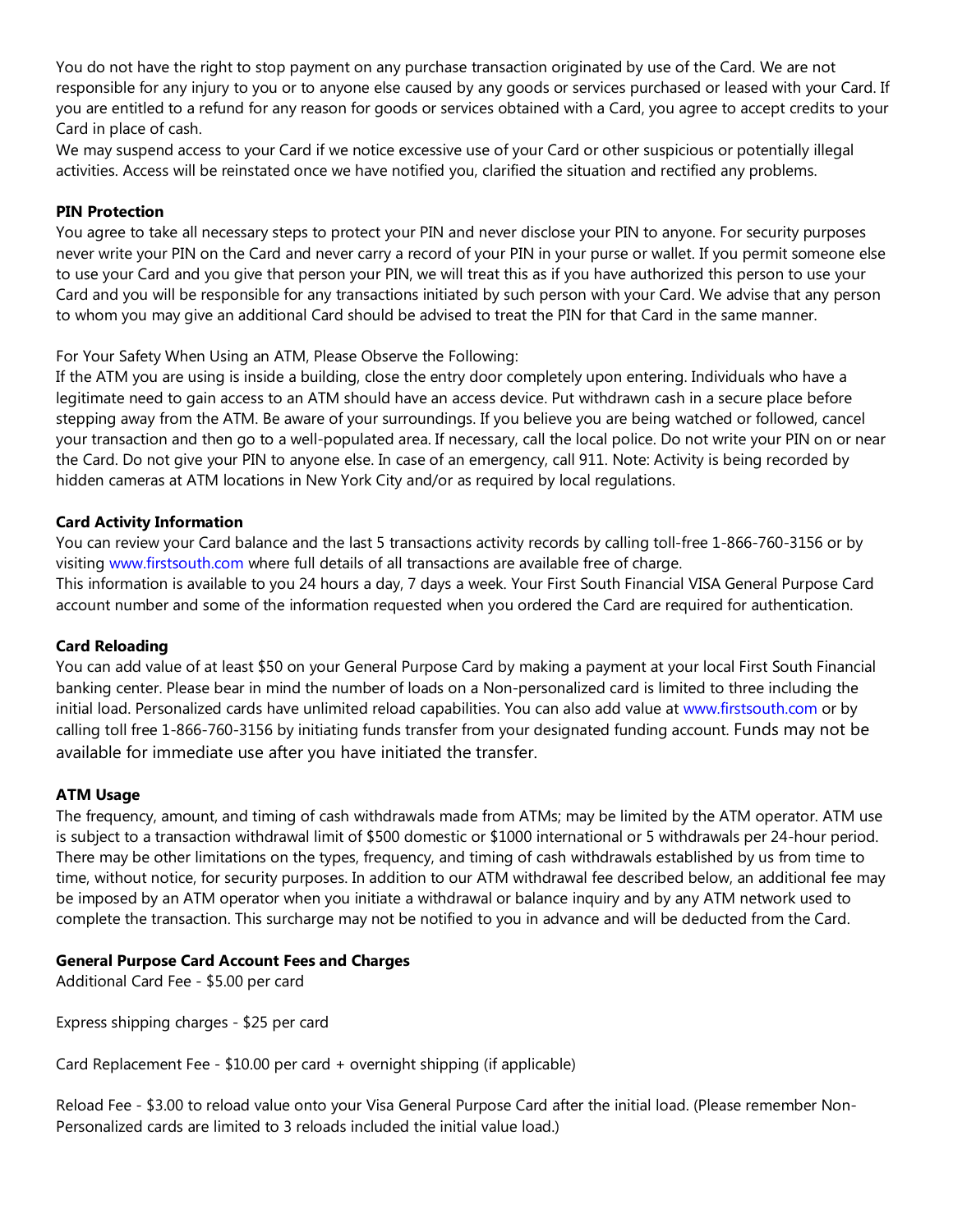You do not have the right to stop payment on any purchase transaction originated by use of the Card. We are not responsible for any injury to you or to anyone else caused by any goods or services purchased or leased with your Card. If you are entitled to a refund for any reason for goods or services obtained with a Card, you agree to accept credits to your Card in place of cash.

We may suspend access to your Card if we notice excessive use of your Card or other suspicious or potentially illegal activities. Access will be reinstated once we have notified you, clarified the situation and rectified any problems.

### **PIN Protection**

You agree to take all necessary steps to protect your PIN and never disclose your PIN to anyone. For security purposes never write your PIN on the Card and never carry a record of your PIN in your purse or wallet. If you permit someone else to use your Card and you give that person your PIN, we will treat this as if you have authorized this person to use your Card and you will be responsible for any transactions initiated by such person with your Card. We advise that any person to whom you may give an additional Card should be advised to treat the PIN for that Card in the same manner.

For Your Safety When Using an ATM, Please Observe the Following:

If the ATM you are using is inside a building, close the entry door completely upon entering. Individuals who have a legitimate need to gain access to an ATM should have an access device. Put withdrawn cash in a secure place before stepping away from the ATM. Be aware of your surroundings. If you believe you are being watched or followed, cancel your transaction and then go to a well-populated area. If necessary, call the local police. Do not write your PIN on or near the Card. Do not give your PIN to anyone else. In case of an emergency, call 911. Note: Activity is being recorded by hidden cameras at ATM locations in New York City and/or as required by local regulations.

## **Card Activity Information**

You can review your Card balance and the last 5 transactions activity records by calling toll-free 1-866-760-3156 or by visiting www.firstsouth.com where full details of all transactions are available free of charge. This information is available to you 24 hours a day, 7 days a week. Your First South Financial VISA General Purpose Card account number and some of the information requested when you ordered the Card are required for authentication.

#### **Card Reloading**

You can add value of at least \$50 on your General Purpose Card by making a payment at your local First South Financial banking center. Please bear in mind the number of loads on a Non-personalized card is limited to three including the initial load. Personalized cards have unlimited reload capabilities. You can also add value at www.firstsouth.com or by calling toll free 1-866-760-3156 by initiating funds transfer from your designated funding account. Funds may not be available for immediate use after you have initiated the transfer.

# **ATM Usage**

The frequency, amount, and timing of cash withdrawals made from ATMs; may be limited by the ATM operator. ATM use is subject to a transaction withdrawal limit of \$500 domestic or \$1000 international or 5 withdrawals per 24-hour period. There may be other limitations on the types, frequency, and timing of cash withdrawals established by us from time to time, without notice, for security purposes. In addition to our ATM withdrawal fee described below, an additional fee may be imposed by an ATM operator when you initiate a withdrawal or balance inquiry and by any ATM network used to complete the transaction. This surcharge may not be notified to you in advance and will be deducted from the Card.

#### **General Purpose Card Account Fees and Charges**

Additional Card Fee - \$5.00 per card

Express shipping charges - \$25 per card

Card Replacement Fee - \$10.00 per card + overnight shipping (if applicable)

Reload Fee - \$3.00 to reload value onto your Visa General Purpose Card after the initial load. (Please remember Non-Personalized cards are limited to 3 reloads included the initial value load.)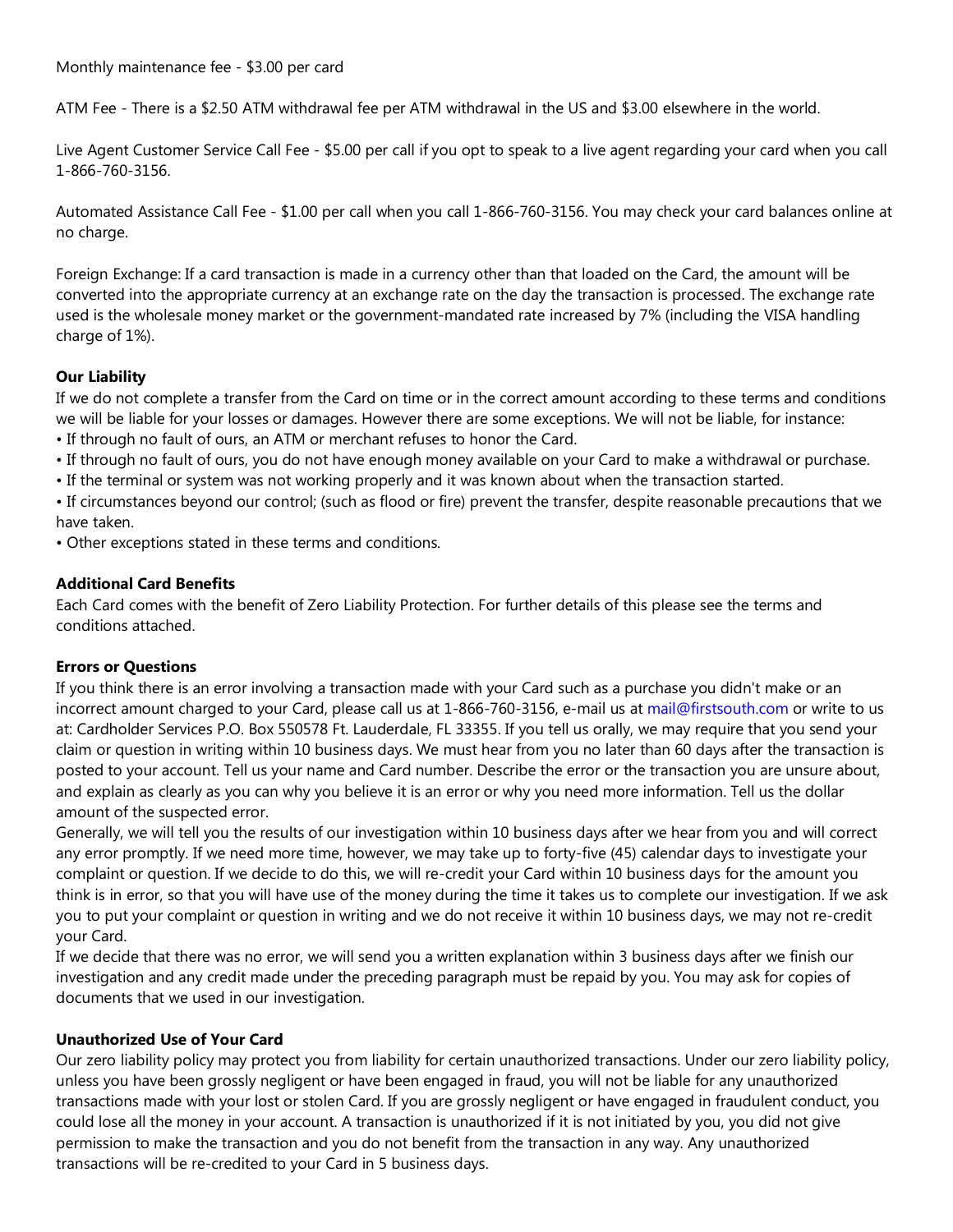Monthly maintenance fee - \$3.00 per card

ATM Fee - There is a \$2.50 ATM withdrawal fee per ATM withdrawal in the US and \$3.00 elsewhere in the world.

Live Agent Customer Service Call Fee - \$5.00 per call if you opt to speak to a live agent regarding your card when you call 1-866-760-3156.

Automated Assistance Call Fee - \$1.00 per call when you call 1-866-760-3156. You may check your card balances online at no charge.

Foreign Exchange: If a card transaction is made in a currency other than that loaded on the Card, the amount will be converted into the appropriate currency at an exchange rate on the day the transaction is processed. The exchange rate used is the wholesale money market or the government-mandated rate increased by 7% (including the VISA handling charge of 1%).

# **Our Liability**

If we do not complete a transfer from the Card on time or in the correct amount according to these terms and conditions we will be liable for your losses or damages. However there are some exceptions. We will not be liable, for instance:

- If through no fault of ours, an ATM or merchant refuses to honor the Card.
- If through no fault of ours, you do not have enough money available on your Card to make a withdrawal or purchase.
- If the terminal or system was not working properly and it was known about when the transaction started.

• If circumstances beyond our control; (such as flood or fire) prevent the transfer, despite reasonable precautions that we have taken.

• Other exceptions stated in these terms and conditions.

## **Additional Card Benefits**

Each Card comes with the benefit of Zero Liability Protection. For further details of this please see the terms and conditions attached.

# **Errors or Questions**

If you think there is an error involving a transaction made with your Card such as a purchase you didn't make or an incorrect amount charged to your Card, please call us at 1-866-760-3156, e-mail us at mail@firstsouth.com or write to us at: Cardholder Services P.O. Box 550578 Ft. Lauderdale, FL 33355. If you tell us orally, we may require that you send your claim or question in writing within 10 business days. We must hear from you no later than 60 days after the transaction is posted to your account. Tell us your name and Card number. Describe the error or the transaction you are unsure about, and explain as clearly as you can why you believe it is an error or why you need more information. Tell us the dollar amount of the suspected error.

Generally, we will tell you the results of our investigation within 10 business days after we hear from you and will correct any error promptly. If we need more time, however, we may take up to forty-five (45) calendar days to investigate your complaint or question. If we decide to do this, we will re-credit your Card within 10 business days for the amount you think is in error, so that you will have use of the money during the time it takes us to complete our investigation. If we ask you to put your complaint or question in writing and we do not receive it within 10 business days, we may not re-credit your Card.

If we decide that there was no error, we will send you a written explanation within 3 business days after we finish our investigation and any credit made under the preceding paragraph must be repaid by you. You may ask for copies of documents that we used in our investigation.

# **Unauthorized Use of Your Card**

Our zero liability policy may protect you from liability for certain unauthorized transactions. Under our zero liability policy, unless you have been grossly negligent or have been engaged in fraud, you will not be liable for any unauthorized transactions made with your lost or stolen Card. If you are grossly negligent or have engaged in fraudulent conduct, you could lose all the money in your account. A transaction is unauthorized if it is not initiated by you, you did not give permission to make the transaction and you do not benefit from the transaction in any way. Any unauthorized transactions will be re-credited to your Card in 5 business days.